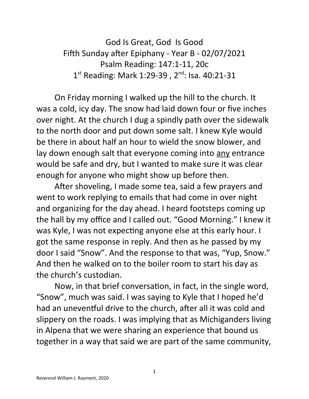God Is Great, God Is Good Fifth Sunday after Epiphany - Year B - 02/07/2021 Psalm Reading: 147:1-11, 20c 1<sup>st</sup> Reading: Mark 1:29-39, 2<sup>nd</sup>: Isa. 40:21-31

On Friday morning I walked up the hill to the church. It was a cold, icy day. The snow had laid down four or five inches over night. At the church I dug a spindly path over the sidewalk to the north door and put down some salt. I knew Kyle would be there in about half an hour to wield the snow blower, and lay down enough salt that everyone coming into any entrance would be safe and dry, but I wanted to make sure it was clear enough for anyone who might show up before then.

After shoveling, I made some tea, said a few prayers and went to work replying to emails that had come in over night and organizing for the day ahead. I heard footsteps coming up the hall by my office and I called out. "Good Morning." I knew it was Kyle, I was not expecting anyone else at this early hour. I got the same response in reply. And then as he passed by my door I said "Snow". And the response to that was, "Yup, Snow." And then he walked on to the boiler room to start his day as the church's custodian.

Now, in that brief conversation, in fact, in the single word, "Snow", much was said. I was saying to Kyle that I hoped he'd had an uneventful drive to the church, after all it was cold and slippery on the roads. I was implying that as Michiganders living in Alpena that we were sharing an experience that bound us together in a way that said we are part of the same community,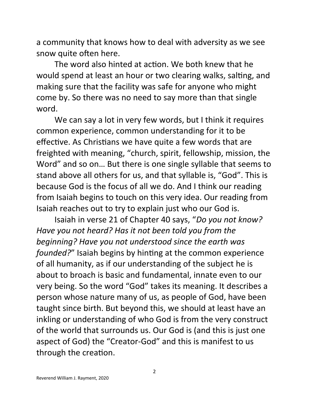a community that knows how to deal with adversity as we see snow quite often here.

The word also hinted at action. We both knew that he would spend at least an hour or two clearing walks, salting, and making sure that the facility was safe for anyone who might come by. So there was no need to say more than that single word.

We can say a lot in very few words, but I think it requires common experience, common understanding for it to be effective. As Christians we have quite a few words that are freighted with meaning, "church, spirit, fellowship, mission, the Word" and so on… But there is one single syllable that seems to stand above all others for us, and that syllable is, "God". This is because God is the focus of all we do. And I think our reading from Isaiah begins to touch on this very idea. Our reading from Isaiah reaches out to try to explain just who our God is.

Isaiah in verse 21 of Chapter 40 says, "*Do you not know? Have you not heard? Has it not been told you from the beginning? Have you not understood since the earth was founded?*" Isaiah begins by hinting at the common experience of all humanity, as if our understanding of the subject he is about to broach is basic and fundamental, innate even to our very being. So the word "God" takes its meaning. It describes a person whose nature many of us, as people of God, have been taught since birth. But beyond this, we should at least have an inkling or understanding of who God is from the very construct of the world that surrounds us. Our God is (and this is just one aspect of God) the "Creator-God" and this is manifest to us through the creation.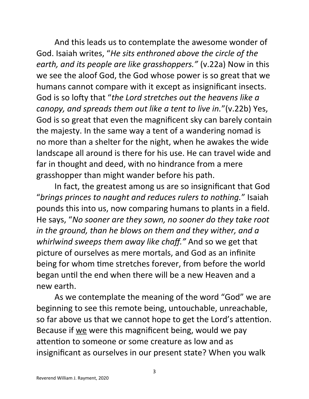And this leads us to contemplate the awesome wonder of God. Isaiah writes, "*He sits enthroned above the circle of the earth, and its people are like grasshoppers."* (v.22a) Now in this we see the aloof God, the God whose power is so great that we humans cannot compare with it except as insignificant insects. God is so lofty that "*the Lord stretches out the heavens like a canopy, and spreads them out like a tent to live in.*"(v.22b) Yes, God is so great that even the magnificent sky can barely contain the majesty. In the same way a tent of a wandering nomad is no more than a shelter for the night, when he awakes the wide landscape all around is there for his use. He can travel wide and far in thought and deed, with no hindrance from a mere grasshopper than might wander before his path.

In fact, the greatest among us are so insignificant that God "*brings princes to naught and reduces rulers to nothing.*" Isaiah pounds this into us, now comparing humans to plants in a field. He says, "*No sooner are they sown, no sooner do they take root in the ground, than he blows on them and they wither, and a whirlwind sweeps them away like chaff."* And so we get that picture of ourselves as mere mortals, and God as an infinite being for whom time stretches forever, from before the world began until the end when there will be a new Heaven and a new earth.

As we contemplate the meaning of the word "God" we are beginning to see this remote being, untouchable, unreachable, so far above us that we cannot hope to get the Lord's attention. Because if we were this magnificent being, would we pay attention to someone or some creature as low and as insignificant as ourselves in our present state? When you walk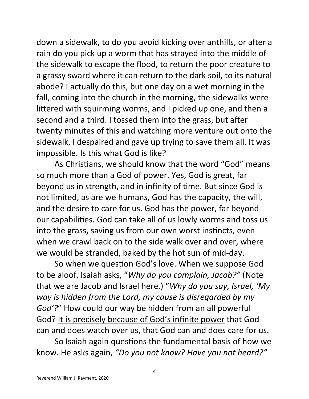down a sidewalk, to do you avoid kicking over anthills, or after a rain do you pick up a worm that has strayed into the middle of the sidewalk to escape the flood, to return the poor creature to a grassy sward where it can return to the dark soil, to its natural abode? I actually do this, but one day on a wet morning in the fall, coming into the church in the morning, the sidewalks were littered with squirming worms, and I picked up one, and then a second and a third. I tossed them into the grass, but after twenty minutes of this and watching more venture out onto the sidewalk, I despaired and gave up trying to save them all. It was impossible. Is this what God is like?

As Christians, we should know that the word "God" means so much more than a God of power. Yes, God is great, far beyond us in strength, and in infinity of time. But since God is not limited, as are we humans, God has the capacity, the will, and the desire to care for us. God has the power, far beyond our capabilities. God can take all of us lowly worms and toss us into the grass, saving us from our own worst instincts, even when we crawl back on to the side walk over and over, where we would be stranded, baked by the hot sun of mid-day.

So when we question God's love. When we suppose God to be aloof, Isaiah asks, "*Why do you complain, Jacob?"* (Note that we are Jacob and Israel here.) "*Why do you say, Israel, 'My way is hidden from the Lord, my cause is disregarded by my God'?*" How could our way be hidden from an all powerful God? It is precisely because of God's infinite power that God can and does watch over us, that God can and does care for us.

So Isaiah again questions the fundamental basis of how we know. He asks again, *"Do you not know? Have you not heard?"*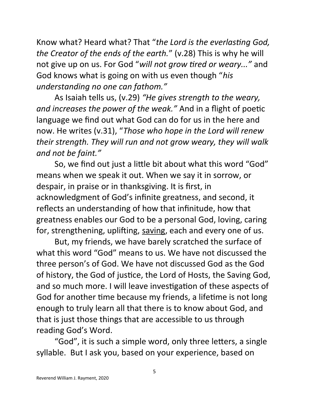Know what? Heard what? That "*the Lord is the everlasting God, the Creator of the ends of the earth.*" (v.28) This is why he will not give up on us. For God "*will not grow tired or weary..."* and God knows what is going on with us even though "*his understanding no one can fathom."*

As Isaiah tells us, (v.29) *"He gives strength to the weary, and increases the power of the weak."* And in a flight of poetic language we find out what God can do for us in the here and now. He writes (v.31), "*Those who hope in the Lord will renew their strength. They will run and not grow weary, they will walk and not be faint."*

So, we find out just a little bit about what this word "God" means when we speak it out. When we say it in sorrow, or despair, in praise or in thanksgiving. It is first, in acknowledgment of God's infinite greatness, and second, it reflects an understanding of how that infinitude, how that greatness enables our God to be a personal God, loving, caring for, strengthening, uplifting, saving, each and every one of us.

But, my friends, we have barely scratched the surface of what this word "God" means to us. We have not discussed the three person's of God. We have not discussed God as the God of history, the God of justice, the Lord of Hosts, the Saving God, and so much more. I will leave investigation of these aspects of God for another time because my friends, a lifetime is not long enough to truly learn all that there is to know about God, and that is just those things that are accessible to us through reading God's Word.

"God", it is such a simple word, only three letters, a single syllable. But I ask you, based on your experience, based on